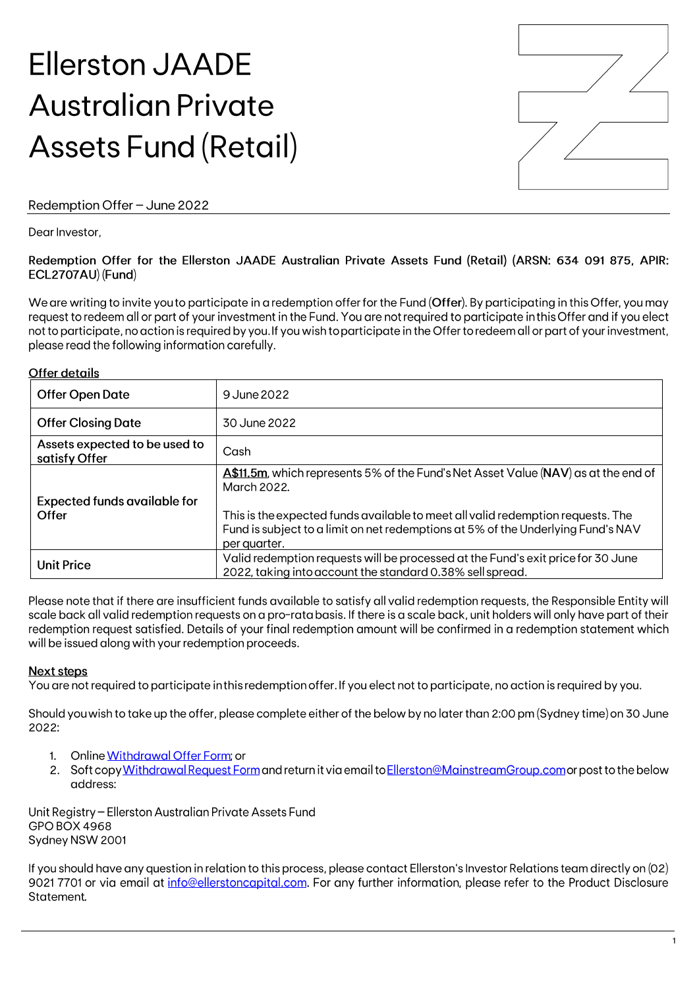# **Ellerston JAADE Australian Private Assets Fund (Retail)**



## Redemption Offer - June 2022

Dear Investor.

#### Redemption Offer for the Ellerston JAADE Australian Private Assets Fund (Retail) (ARSN: 634 091 875, APIR: ECL2707AU) (Fund)

We are writing to invite you to participate in a redemption offer for the Fund (Offer). By participating in this Offer, you may request to redeem all or part of your investment in the Fund. You are not required to participate in this Offer and if you elect not to participate, no action is required by you. If you wish to participate in the Offer to redeem all or part of your investment, please read the following information carefully.

#### Offer details

| <b>Offer Open Date</b>                         | 9 June 2022                                                                                                                                                                                                                                                                              |
|------------------------------------------------|------------------------------------------------------------------------------------------------------------------------------------------------------------------------------------------------------------------------------------------------------------------------------------------|
| <b>Offer Closing Date</b>                      | 30 June 2022                                                                                                                                                                                                                                                                             |
| Assets expected to be used to<br>satisfy Offer | Cash                                                                                                                                                                                                                                                                                     |
| <b>Expected funds available for</b><br>Offer   | A\$11.5m, which represents 5% of the Fund's Net Asset Value (NAV) as at the end of<br>March 2022.<br>This is the expected funds available to meet all valid redemption requests. The<br>Fund is subject to a limit on net redemptions at 5% of the Underlying Fund's NAV<br>per quarter. |
| <b>Unit Price</b>                              | Valid redemption requests will be processed at the Fund's exit price for 30 June<br>2022, taking into account the standard 0.38% sell spread.                                                                                                                                            |

Please note that if there are insufficient funds available to satisfy all valid redemption requests, the Responsible Entity will scale back all valid redemption requests on a pro-rata basis. If there is a scale back, unit holders will only have part of their redemption request satisfied. Details of your final redemption amount will be confirmed in a redemption statement which will be issued along with your redemption proceeds.

## Next steps

You are not required to participate in this redemption offer. If you elect not to participate, no action is required by you.

Should you wish to take up the offer, please complete either of the below by no later than 2:00 pm (Sydney time) on 30 June 2022:

- 1. Online Withdrawal Offer Form: or
- 2. Soft copy Withdrawal Request Form and return it via email to Ellerston@MainstreamGroup.com or post to the below address:

Unit Registry - Ellerston Australian Private Assets Fund GPO BOX 4968 Sydney NSW 2001

If you should have any question in relation to this process, please contact Ellerston's Investor Relations team directly on (02) 9021 7701 or via email at info@ellerstoncapital.com. For any further information, please refer to the Product Disclosure Statement.